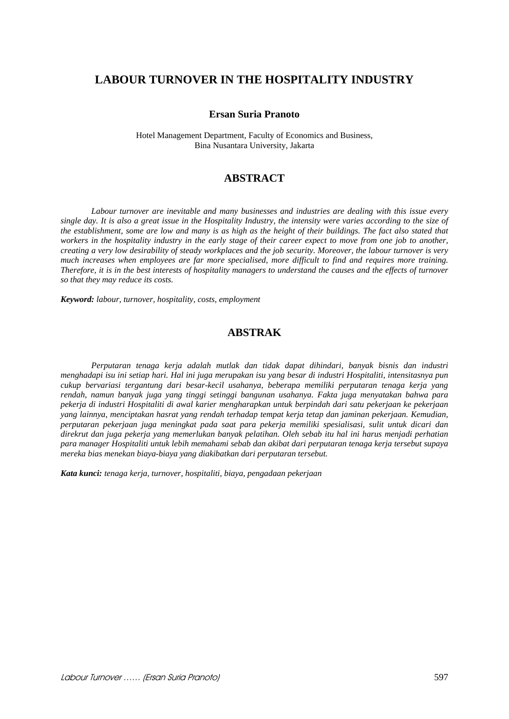# **LABOUR TURNOVER IN THE HOSPITALITY INDUSTRY**

#### **Ersan Suria Pranoto**

Hotel Management Department, Faculty of Economics and Business, Bina Nusantara University, Jakarta

# **ABSTRACT**

*Labour turnover are inevitable and many businesses and industries are dealing with this issue every single day. It is also a great issue in the Hospitality Industry, the intensity were varies according to the size of the establishment, some are low and many is as high as the height of their buildings. The fact also stated that*  workers in the hospitality industry in the early stage of their career expect to move from one job to another, *creating a very low desirability of steady workplaces and the job security. Moreover, the labour turnover is very much increases when employees are far more specialised, more difficult to find and requires more training. Therefore, it is in the best interests of hospitality managers to understand the causes and the effects of turnover so that they may reduce its costs.* 

*Keyword: labour, turnover, hospitality, costs, employment* 

# **ABSTRAK**

*Perputaran tenaga kerja adalah mutlak dan tidak dapat dihindari, banyak bisnis dan industri menghadapi isu ini setiap hari. Hal ini juga merupakan isu yang besar di industri Hospitaliti, intensitasnya pun cukup bervariasi tergantung dari besar-kecil usahanya, beberapa memiliki perputaran tenaga kerja yang rendah, namun banyak juga yang tinggi setinggi bangunan usahanya. Fakta juga menyatakan bahwa para pekerja di industri Hospitaliti di awal karier mengharapkan untuk berpindah dari satu pekerjaan ke pekerjaan yang lainnya, menciptakan hasrat yang rendah terhadap tempat kerja tetap dan jaminan pekerjaan. Kemudian, perputaran pekerjaan juga meningkat pada saat para pekerja memiliki spesialisasi, sulit untuk dicari dan direkrut dan juga pekerja yang memerlukan banyak pelatihan. Oleh sebab itu hal ini harus menjadi perhatian para manager Hospitaliti untuk lebih memahami sebab dan akibat dari perputaran tenaga kerja tersebut supaya mereka bias menekan biaya-biaya yang diakibatkan dari perputaran tersebut.* 

*Kata kunci: tenaga kerja, turnover, hospitaliti, biaya, pengadaan pekerjaan*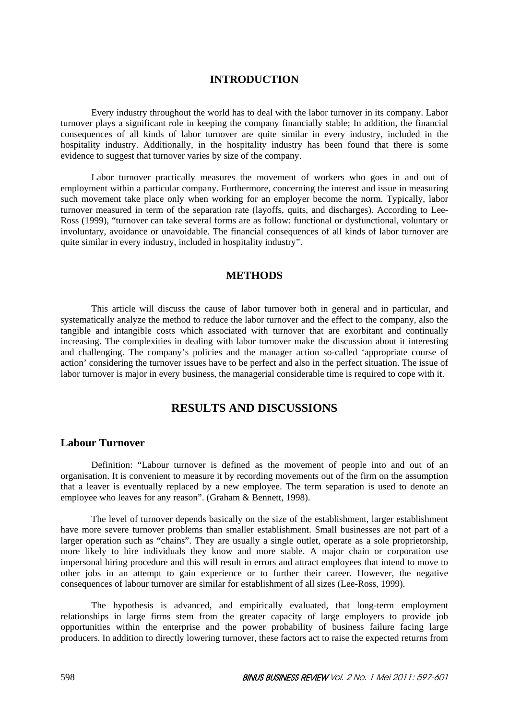### **INTRODUCTION**

Every industry throughout the world has to deal with the labor turnover in its company. Labor turnover plays a significant role in keeping the company financially stable; In addition, the financial consequences of all kinds of labor turnover are quite similar in every industry, included in the hospitality industry. Additionally, in the hospitality industry has been found that there is some evidence to suggest that turnover varies by size of the company.

Labor turnover practically measures the movement of workers who goes in and out of employment within a particular company. Furthermore, concerning the interest and issue in measuring such movement take place only when working for an employer become the norm. Typically, labor turnover measured in term of the separation rate (layoffs, quits, and discharges). According to Lee-Ross (1999), "turnover can take several forms are as follow: functional or dysfunctional, voluntary or involuntary, avoidance or unavoidable. The financial consequences of all kinds of labor turnover are quite similar in every industry, included in hospitality industry".

## **METHODS**

This article will discuss the cause of labor turnover both in general and in particular, and systematically analyze the method to reduce the labor turnover and the effect to the company, also the tangible and intangible costs which associated with turnover that are exorbitant and continually increasing. The complexities in dealing with labor turnover make the discussion about it interesting and challenging. The company's policies and the manager action so-called 'appropriate course of action' considering the turnover issues have to be perfect and also in the perfect situation. The issue of labor turnover is major in every business, the managerial considerable time is required to cope with it.

# **RESULTS AND DISCUSSIONS**

### **Labour Turnover**

Definition: "Labour turnover is defined as the movement of people into and out of an organisation. It is convenient to measure it by recording movements out of the firm on the assumption that a leaver is eventually replaced by a new employee. The term separation is used to denote an employee who leaves for any reason". (Graham & Bennett, 1998).

The level of turnover depends basically on the size of the establishment, larger establishment have more severe turnover problems than smaller establishment. Small businesses are not part of a larger operation such as "chains". They are usually a single outlet, operate as a sole proprietorship, more likely to hire individuals they know and more stable. A major chain or corporation use impersonal hiring procedure and this will result in errors and attract employees that intend to move to other jobs in an attempt to gain experience or to further their career. However, the negative consequences of labour turnover are similar for establishment of all sizes (Lee-Ross, 1999).

The hypothesis is advanced, and empirically evaluated, that long-term employment relationships in large firms stem from the greater capacity of large employers to provide job opportunities within the enterprise and the power probability of business failure facing large producers. In addition to directly lowering turnover, these factors act to raise the expected returns from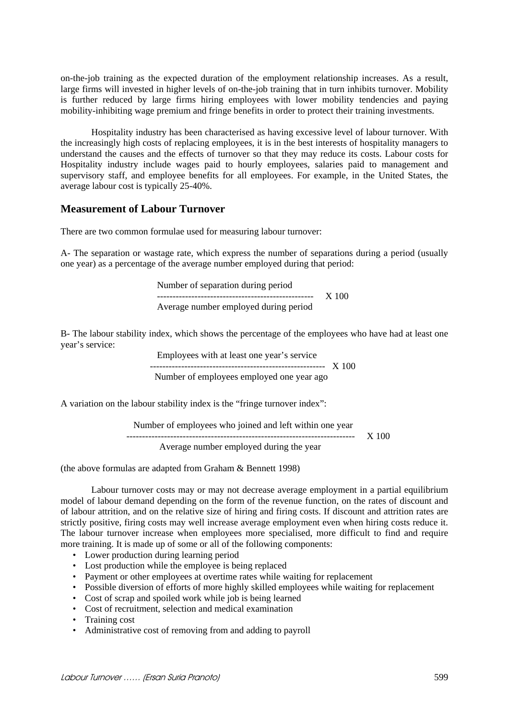on-the-job training as the expected duration of the employment relationship increases. As a result, large firms will invested in higher levels of on-the-job training that in turn inhibits turnover. Mobility is further reduced by large firms hiring employees with lower mobility tendencies and paying mobility-inhibiting wage premium and fringe benefits in order to protect their training investments.

Hospitality industry has been characterised as having excessive level of labour turnover. With the increasingly high costs of replacing employees, it is in the best interests of hospitality managers to understand the causes and the effects of turnover so that they may reduce its costs. Labour costs for Hospitality industry include wages paid to hourly employees, salaries paid to management and supervisory staff, and employee benefits for all employees. For example, in the United States, the average labour cost is typically 25-40%.

### **Measurement of Labour Turnover**

There are two common formulae used for measuring labour turnover:

A- The separation or wastage rate, which express the number of separations during a period (usually one year) as a percentage of the average number employed during that period:

> Number of separation during period -------------------------------------------------- X 100 Average number employed during period

B- The labour stability index, which shows the percentage of the employees who have had at least one year's service:

> Employees with at least one year's service -------------------------------------------------------- X 100 Number of employees employed one year ago

A variation on the labour stability index is the "fringe turnover index":

| Number of employees who joined and left within one year |       |
|---------------------------------------------------------|-------|
|                                                         | X 100 |
| Average number employed during the year                 |       |

(the above formulas are adapted from Graham & Bennett 1998)

Labour turnover costs may or may not decrease average employment in a partial equilibrium model of labour demand depending on the form of the revenue function, on the rates of discount and of labour attrition, and on the relative size of hiring and firing costs. If discount and attrition rates are strictly positive, firing costs may well increase average employment even when hiring costs reduce it. The labour turnover increase when employees more specialised, more difficult to find and require more training. It is made up of some or all of the following components:

- Lower production during learning period
- Lost production while the employee is being replaced
- Payment or other employees at overtime rates while waiting for replacement
- Possible diversion of efforts of more highly skilled employees while waiting for replacement
- Cost of scrap and spoiled work while job is being learned
- Cost of recruitment, selection and medical examination
- Training cost
- Administrative cost of removing from and adding to payroll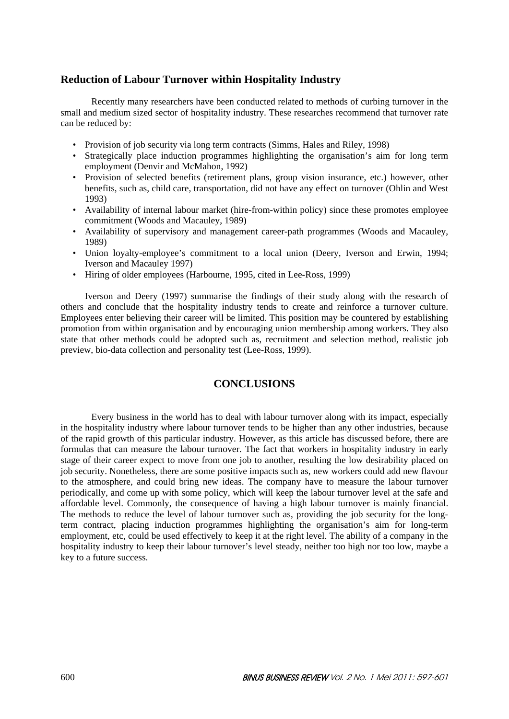## **Reduction of Labour Turnover within Hospitality Industry**

Recently many researchers have been conducted related to methods of curbing turnover in the small and medium sized sector of hospitality industry. These researches recommend that turnover rate can be reduced by:

- Provision of job security via long term contracts (Simms, Hales and Riley, 1998)
- Strategically place induction programmes highlighting the organisation's aim for long term employment (Denvir and McMahon, 1992)
- Provision of selected benefits (retirement plans, group vision insurance, etc.) however, other benefits, such as, child care, transportation, did not have any effect on turnover (Ohlin and West 1993)
- Availability of internal labour market (hire-from-within policy) since these promotes employee commitment (Woods and Macauley, 1989)
- Availability of supervisory and management career-path programmes (Woods and Macauley, 1989)
- Union loyalty-employee's commitment to a local union (Deery, Iverson and Erwin, 1994; Iverson and Macauley 1997)
- Hiring of older employees (Harbourne, 1995, cited in Lee-Ross, 1999)

Iverson and Deery (1997) summarise the findings of their study along with the research of others and conclude that the hospitality industry tends to create and reinforce a turnover culture. Employees enter believing their career will be limited. This position may be countered by establishing promotion from within organisation and by encouraging union membership among workers. They also state that other methods could be adopted such as, recruitment and selection method, realistic job preview, bio-data collection and personality test (Lee-Ross, 1999).

# **CONCLUSIONS**

Every business in the world has to deal with labour turnover along with its impact, especially in the hospitality industry where labour turnover tends to be higher than any other industries, because of the rapid growth of this particular industry. However, as this article has discussed before, there are formulas that can measure the labour turnover. The fact that workers in hospitality industry in early stage of their career expect to move from one job to another, resulting the low desirability placed on job security. Nonetheless, there are some positive impacts such as, new workers could add new flavour to the atmosphere, and could bring new ideas. The company have to measure the labour turnover periodically, and come up with some policy, which will keep the labour turnover level at the safe and affordable level. Commonly, the consequence of having a high labour turnover is mainly financial. The methods to reduce the level of labour turnover such as, providing the job security for the longterm contract, placing induction programmes highlighting the organisation's aim for long-term employment, etc, could be used effectively to keep it at the right level. The ability of a company in the hospitality industry to keep their labour turnover's level steady, neither too high nor too low, maybe a key to a future success.